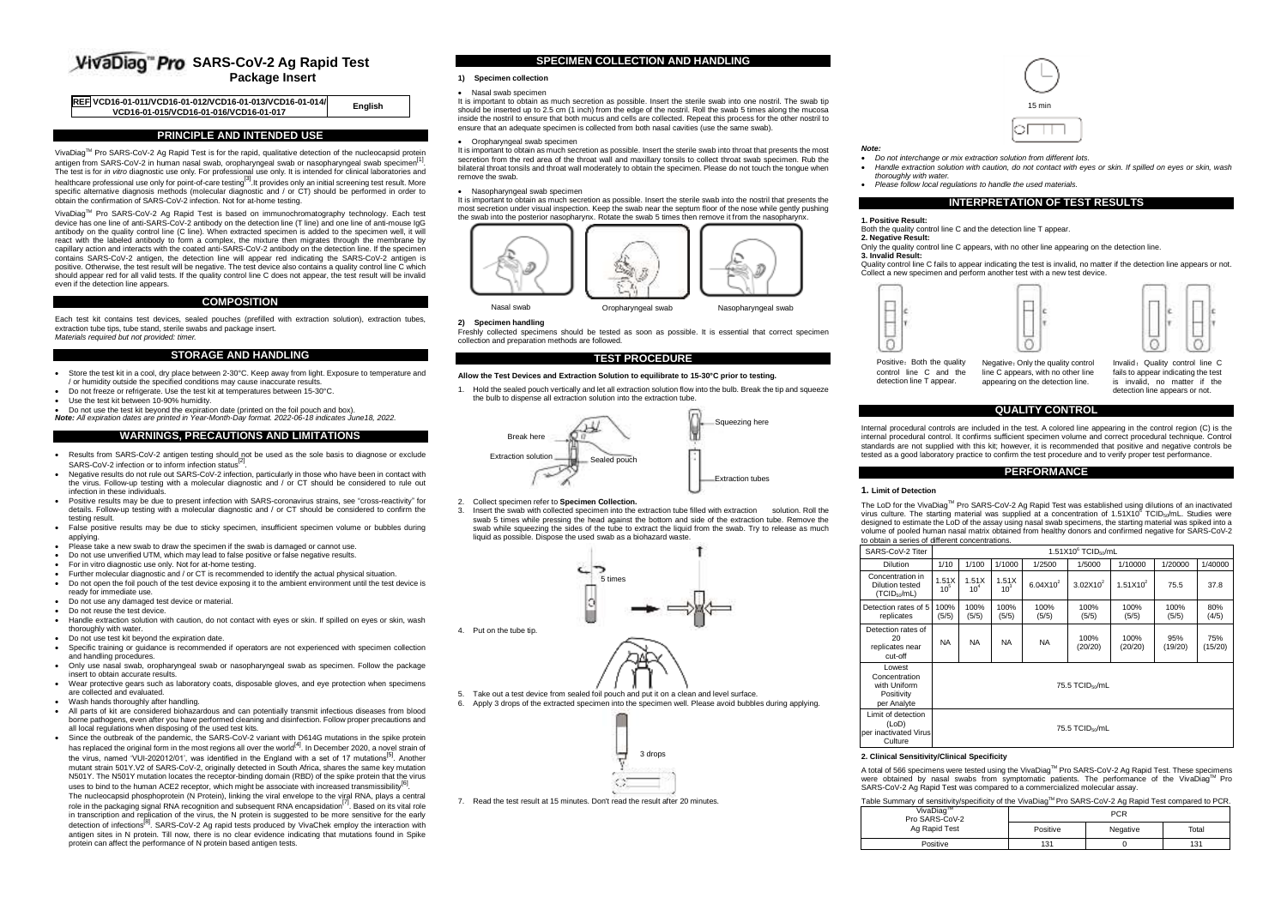# **VivaDiag**" Pro SARS-CoV-2 Ag Rapid Test **Package Insert**

| REF VCD16-01-011/VCD16-01-012/VCD16-01-013/VCD16-01-014/<br>English<br>VCD16-01-015/VCD16-01-016/VCD16-01-017 |
|---------------------------------------------------------------------------------------------------------------|
|---------------------------------------------------------------------------------------------------------------|

## **PRINCIPLE AND INTENDED USE**

VivaDiagTM Pro SARS-CoV-2 Ag Rapid Test is for the rapid, qualitative detection of the nucleocapsid protein antigen from SARS-CoV-2 in human nasal swab, oropharyngeal swab or nasopharyngeal swab specimen<sup>[1</sup>] antigen from SARS-CoV-2 in human nasal swab, oropharyngeal swab or nasopharyngeal swab specimen<sup>t</sup> '.<br>The test is for *in vitro* diagnostic use only. For professional use only. It is intended for clinical laboratories and healthcare professional use only for point-of-care testing<sup>[3]</sup>. It provides only an initial screening test result. More specific alternative diagnosis methods (molecular diagnostic and / or CT) should be performed in order to obtain the confirmation of SARS-CoV-2 infection. Not for at-home testing.

VivaDiag™ Pro SARS-CoV-2 Ag Rapid Test is based on immunochromatography technology. Each test device has one line of anti-SARS-CoV-2 antibody on the detection line (T line) and one line of anti-mouse IgG antibody on the quality control line (C line). When extracted specimen is added to the specimen well, it will react with the labeled antibody to form a complex, the mixture then migrates through the membrane by capillary action and interacts with the coated anti-SARS-CoV-2 antibody on the detection line. If the specimen contains SARS-CoV-2 antigen, the detection line will appear red indicating the SARS-CoV-2 antigen is positive. Otherwise, the test result will be negative. The test device also contains a quality control line C which should appear red for all valid tests. If the quality control line C does not appear, the test result will be invalid even if the detection line appears.

### **COMPOSITION**

Each test kit contains test devices, sealed pouches (prefilled with extraction solution), extraction tubes, extraction tube tips, tube stand, sterile swabs and package insert. *Materials required but not provided: timer.*

## **STORAGE AND HANDLING**

- Store the test kit in a cool, dry place between 2-30°C. Keep away from light. Exposure to temperature and / or humidity outside the specified conditions may cause inaccurate results.
- Do not freeze or refrigerate. Use the test kit at temperatures between 15-30°C.
- Use the test kit between 10-90% humidity.
- Do not use the test kit beyond the expiration date (printed on the foil pouch and box).
- *Note: All expiration dates are printed in Year-Month-Day format. 2022-06-18 indicates June18, 2022.*

# **WARNINGS, PRECAUTIONS AND LIMITATIONS**

- Results from SARS-CoV-2 antigen testing should not be used as the sole basis to diagnose or exclude SARS-CoV-2 infection or to inform infection status<sup>[2</sup>]
- . Negative results do not rule out SARS-CoV-2 infection, particularly in those who have been in contact with the virus. Follow-up testing with a molecular diagnostic and / or CT should be considered to rule out infection in these individuals.
- Positive results may be due to present infection with SARS-coronavirus strains, see "cross-reactivity" for details. Follow-up testing with a molecular diagnostic and / or CT should be considered to confirm the testing result.
- False positive results may be due to sticky specimen, insufficient specimen volume or bubbles during applying.
- Please take a new swab to draw the specimen if the swab is damaged or cannot use.
- Do not use unverified UTM, which may lead to false positive or false negative results.
- For in vitro diagnostic use only. Not for at-home testing.
- Further molecular diagnostic and / or CT is recommended to identify the actual physical situation.
- Do not open the foil pouch of the test device exposing it to the ambient environment until the test device is
- ready for immediate use. Do not use any damaged test device or material.
- **Do not reuse the test device.**
- Handle extraction solution with caution, do not contact with eyes or skin. If spilled on eyes or skin, wash thoroughly with water.
- Do not use test kit beyond the expiration date.
- Specific training or guidance is recommended if operators are not experienced with specimen collection and handling procedures.
- Only use nasal swab, oropharyngeal swab or nasopharyngeal swab as specimen. Follow the package insert to obtain accurate results.
- Wear protective gears such as laboratory coats, disposable gloves, and eye protection when specimens are collected and evaluated.
- . Wash hands thoroughly after handling.
- All parts of kit are considered biohazardous and can potentially transmit infectious diseases from blood borne pathogens, even after you have performed cleaning and disinfection. Follow proper precautions and all local regulations when disposing of the used test kits.
- Since the outbreak of the pandemic, the SARS-CoV-2 variant with D614G mutations in the spike protein has replaced the original form in the most regions all over the world<sup>[4]</sup>. In December 2020, a novel strain of the virus, named 'VUI-202012/01', was identified in the England with a set of 17 mutations<sup>[5]</sup>. Another mutant strain 501Y.V2 of SARS-CoV-2, originally detected in South Africa, shares the same key mutation mutation N501Y. The N501Y mutation locates the receptor-binding domain (RBD) of the spike protein that the virus uses to bind to the human  $\Delta$ CE2 receptor, which might be associate with increased transmissibility<sup>[6]</sup>

uses to bind to the human ACE2 receptor, which might be associate with increased transmissibility<sup>ior</sup>.<br>The nucleocapsid phosphoprotein (N Protein), linking the viral envelope to the viral RNA, plays a central role in the packaging signal RNA recognition and subsequent RNA encapsidation<sup>[7]</sup>. Based on its vital role in transcription and replication of the virus, the N protein is suggested to be more sensitive for the early detection of infections<sup>[8]</sup>. SARS-CoV-2 Ag rapid tests produced by VivaChek employ the interaction with antigen sites in N protein. Till now, there is no clear evidence indicating that mutations found in Spike protein can affect the performance of N protein based antigen tests.

#### **SPECIMEN COLLECTION AND HANDLING**

# **1) Specimen collection**

#### Nasal swab specimen

It is important to obtain as much secretion as possible. Insert the sterile swab into one nostril. The swab tip should be inserted up to 2.5 cm (1 inch) from the edge of the nostril. Roll the swab 5 times along the mucosa inside the nostril to ensure that both mucus and cells are collected. Repeat this process for the other nostril to ensure that an adequate specimen is collected from both nasal cavities (use the same swab).

Oropharyngeal swab specimen

It is important to obtain as much secretion as possible. Insert the sterile swab into throat that presents the most secretion from the red area of the throat wall and maxillary tonsils to collect throat swab specimen. Rub the bilateral throat tonsils and throat wall moderately to obtain the specimen. Please do not touch the tongue when remove the swab.

#### Nasopharyngeal swab specimen

It is important to obtain as much secretion as possible. Insert the sterile swab into the nostril that presents the most secretion under visual inspection. Keep the swab near the septum floor of the nose while gently pushing the swab into the posterior nasopharynx. Rotate the swab 5 times then remove it from the nasopharynx



#### **2) Specimen handling**

Freshly collected specimens should be tested as soon as possible. It is essential that correct specimen collection and preparation methods are followed.

## **TEST PROCEDURE**

#### **Allow the Test Devices and Extraction Solution to equilibrate to 15-30°C prior to testing.**

1. Hold the sealed pouch vertically and let all extraction solution flow into the bulb. Break the tip and squeeze the bulb to dispense all extraction solution into the extraction tube.



- 2. Collect specimen refer to **Specimen Collection.**
- 3. Insert the swab with collected specimen into the extraction tube filled with extraction solution. Roll the swab 5 times while pressing the head against the bottom and side of the extraction tube. Remove the swab while squeezing the sides of the tube to extract the liquid from the swab. Try to release as much liquid as possible. Dispose the used swab as a biohazard waste.



 5. Take out a test device from sealed foil pouch and put it on a clean and level surface. 6. Apply 3 drops of the extracted specimen into the specimen well. Please avoid bubbles during applying.



7. Read the test result at 15 minutes. Don't read the result after 20 minutes.



- 
- *Note: Do not interchange or mix extraction solution from different lots.*
- *Handle extraction solution with caution, do not contact with eyes or skin. If spilled on eyes or skin, wash thoroughly with water.*
- *Please follow local regulations to handle the used materials.*

#### **INTERPRETATION OF TEST RESULTS**

**1. Positive Result:**  1.1 USHIVU RUSUR.<br>Both the quality control line C and the detection line T appear

#### **2. Negative Result:**

Only the quality control line C appears, with no other line appearing on the detection line.

**3. Invalid Result:**

Quality control line C fails to appear indicating the test is invalid, no matter if the detection line appears or not. Collect a new specimen and perform another test with a new test device.





Positive: Both the quality control line C and the detection line T appear. Negative: Only the quality control line C appears, with no other line appearing on the detection line.

Invalid: Quality control line C fails to appear indicating the test is invalid, no matter if the detection line appears or not.

## **QUALITY CONTROL**

Internal procedural controls are included in the test. A colored line appearing in the control region (C) is the internal procedural control. It confirms sufficient specimen volume and correct procedural technique. Control standards are not supplied with this kit; however, it is recommended that positive and negative controls be tested as a good laboratory practice to confirm the test procedure and to verify proper test performance.

# **PERFORMANCE**

### **1. Limit of Detection**

The LoD for the VivaDiagTM Pro SARS-CoV-2 Ag Rapid Test was established using dilutions of an inactivated virus culture. The starting material was supplied at a concentration of 1.51X10<sup>6</sup> TCID<sub>50</sub>/mL. Studies were designed to estimate the LoD of the assay using nasal swab specimens, the starting material was spiked into a volume of pooled human nasal matrix obtained from healthy donors and confirmed negative for SARS-CoV-2 to obtain a series of different concentrations.

| SARS-CoV-2 Titer                                                       |                          | $1.51X106$ TCID $_{50}$ /mL |                          |               |                 |                 |                |                |
|------------------------------------------------------------------------|--------------------------|-----------------------------|--------------------------|---------------|-----------------|-----------------|----------------|----------------|
| <b>Dilution</b>                                                        | 1/10                     | 1/100                       | 1/1000                   | 1/2500        | 1/5000          | 1/10000         | 1/20000        | 1/40000        |
| Concentration in<br><b>Dilution tested</b><br>(TCID <sub>50</sub> /mL) | 1.51X<br>10 <sup>5</sup> | 1.51X<br>10 <sup>4</sup>    | 1.51X<br>10 <sup>3</sup> | $6.04X10^{2}$ | $3.02X10^2$     | $1.51X10^{2}$   | 75.5           | 37.8           |
| Detection rates of 5<br>replicates                                     | 100%<br>(5/5)            | 100%<br>(5/5)               | 100%<br>(5/5)            | 100%<br>(5/5) | 100%<br>(5/5)   | 100%<br>(5/5)   | 100%<br>(5/5)  | 80%<br>(4/5)   |
| Detection rates of<br>20<br>replicates near<br>cut-off                 | <b>NA</b>                | <b>NA</b>                   | <b>NA</b>                | <b>NA</b>     | 100%<br>(20/20) | 100%<br>(20/20) | 95%<br>(19/20) | 75%<br>(15/20) |
| Lowest<br>Concentration<br>with Uniform<br>Positivity<br>per Analyte   |                          | 75.5 TCID60/mL              |                          |               |                 |                 |                |                |
| Limit of detection<br>(LoD)<br>per inactivated Virus<br>Culture        | 75.5 TCID60/mL           |                             |                          |               |                 |                 |                |                |

#### **2. Clinical Sensitivity/Clinical Specificity**

A total of 566 specimens were tested using the VivaDiag™ Pro SARS-CoV-2 Ag Rapid Test. These specimens were obtained by nasal swabs from symptomatic patients. The performance of the VivaDiag™ Pro SARS-CoV-2 Ag Rapid Test was compared to a commercialized molecular assay.

## Table Summary of sensitivity/specificity of the VivaDiag™ Pro SARS-CoV-2 Ag Rapid Test compared to PCR.

| VivaDiag <sup>1M</sup><br>Pro SARS-CoV-2 | <b>PCR</b> |          |       |  |  |
|------------------------------------------|------------|----------|-------|--|--|
| Ag Rapid Test                            | Positive   | Negative | Total |  |  |
| Positive                                 | 131        |          | 131   |  |  |



4. Put on the tube tip.